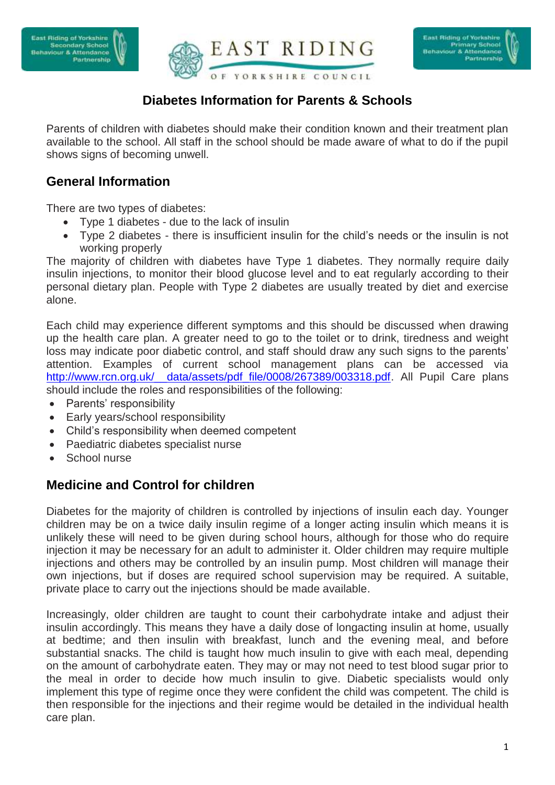



# **Diabetes Information for Parents & Schools**

Parents of children with diabetes should make their condition known and their treatment plan available to the school. All staff in the school should be made aware of what to do if the pupil shows signs of becoming unwell.

## **General Information**

There are two types of diabetes:

- Type 1 diabetes due to the lack of insulin
- Type 2 diabetes there is insufficient insulin for the child's needs or the insulin is not working properly

The majority of children with diabetes have Type 1 diabetes. They normally require daily insulin injections, to monitor their blood glucose level and to eat regularly according to their personal dietary plan. People with Type 2 diabetes are usually treated by diet and exercise alone.

Each child may experience different symptoms and this should be discussed when drawing up the health care plan. A greater need to go to the toilet or to drink, tiredness and weight loss may indicate poor diabetic control, and staff should draw any such signs to the parents' attention. Examples of current school management plans can be accessed via http://www.rcn.org.uk/\_data/assets/pdf\_file/0008/267389/003318.pdf. All Pupil Care plans should include the roles and responsibilities of the following:

- Parents' responsibility
- Early years/school responsibility
- Child's responsibility when deemed competent
- Paediatric diabetes specialist nurse
- School nurse

## **Medicine and Control for children**

Diabetes for the majority of children is controlled by injections of insulin each day. Younger children may be on a twice daily insulin regime of a longer acting insulin which means it is unlikely these will need to be given during school hours, although for those who do require injection it may be necessary for an adult to administer it. Older children may require multiple injections and others may be controlled by an insulin pump. Most children will manage their own injections, but if doses are required school supervision may be required. A suitable, private place to carry out the injections should be made available.

Increasingly, older children are taught to count their carbohydrate intake and adjust their insulin accordingly. This means they have a daily dose of longacting insulin at home, usually at bedtime; and then insulin with breakfast, lunch and the evening meal, and before substantial snacks. The child is taught how much insulin to give with each meal, depending on the amount of carbohydrate eaten. They may or may not need to test blood sugar prior to the meal in order to decide how much insulin to give. Diabetic specialists would only implement this type of regime once they were confident the child was competent. The child is then responsible for the injections and their regime would be detailed in the individual health care plan.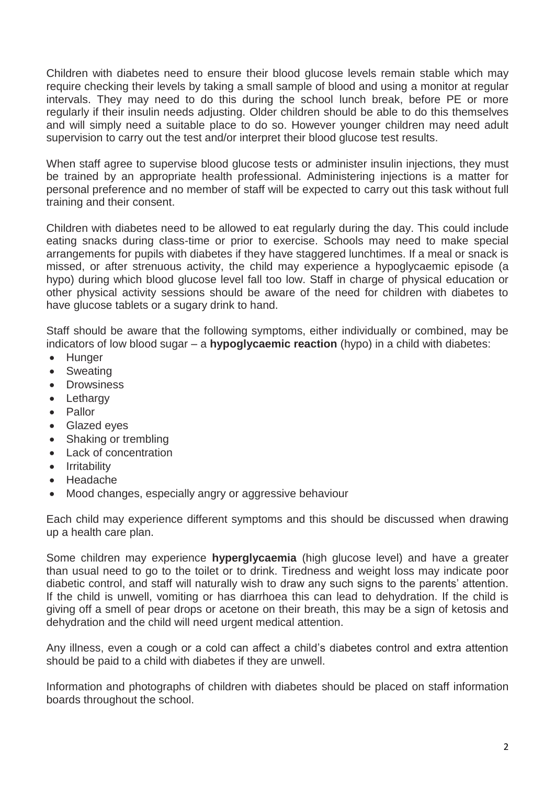Children with diabetes need to ensure their blood glucose levels remain stable which may require checking their levels by taking a small sample of blood and using a monitor at regular intervals. They may need to do this during the school lunch break, before PE or more regularly if their insulin needs adjusting. Older children should be able to do this themselves and will simply need a suitable place to do so. However younger children may need adult supervision to carry out the test and/or interpret their blood glucose test results.

When staff agree to supervise blood glucose tests or administer insulin injections, they must be trained by an appropriate health professional. Administering injections is a matter for personal preference and no member of staff will be expected to carry out this task without full training and their consent.

Children with diabetes need to be allowed to eat regularly during the day. This could include eating snacks during class-time or prior to exercise. Schools may need to make special arrangements for pupils with diabetes if they have staggered lunchtimes. If a meal or snack is missed, or after strenuous activity, the child may experience a hypoglycaemic episode (a hypo) during which blood glucose level fall too low. Staff in charge of physical education or other physical activity sessions should be aware of the need for children with diabetes to have glucose tablets or a sugary drink to hand.

Staff should be aware that the following symptoms, either individually or combined, may be indicators of low blood sugar – a **hypoglycaemic reaction** (hypo) in a child with diabetes:

- Hunger
- Sweating
- Drowsiness
- Lethargy
- Pallor
- Glazed eyes
- Shaking or trembling
- Lack of concentration
- **•** Irritability
- Headache
- Mood changes, especially angry or aggressive behaviour

Each child may experience different symptoms and this should be discussed when drawing up a health care plan.

Some children may experience **hyperglycaemia** (high glucose level) and have a greater than usual need to go to the toilet or to drink. Tiredness and weight loss may indicate poor diabetic control, and staff will naturally wish to draw any such signs to the parents' attention. If the child is unwell, vomiting or has diarrhoea this can lead to dehydration. If the child is giving off a smell of pear drops or acetone on their breath, this may be a sign of ketosis and dehydration and the child will need urgent medical attention.

Any illness, even a cough or a cold can affect a child's diabetes control and extra attention should be paid to a child with diabetes if they are unwell.

Information and photographs of children with diabetes should be placed on staff information boards throughout the school.